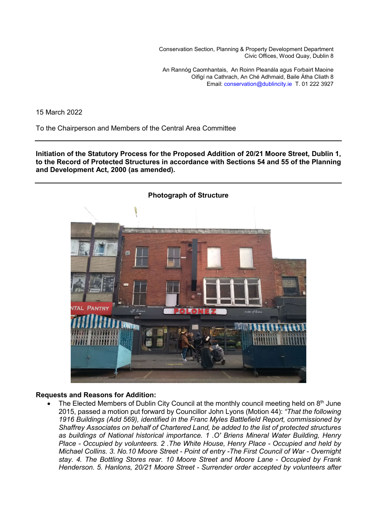Conservation Section, Planning & Property Development Department Civic Offices, Wood Quay, Dublin 8

An Rannóg Caomhantais, An Roinn Pleanála agus Forbairt Maoine Oifigí na Cathrach, An Ché Adhmaid, Baile Átha Cliath 8 Email: conservation@dublincity.ie T. 01 222 3927

15 March 2022

To the Chairperson and Members of the Central Area Committee

**Initiation of the Statutory Process for the Proposed Addition of 20/21 Moore Street, Dublin 1, to the Record of Protected Structures in accordance with Sections 54 and 55 of the Planning and Development Act, 2000 (as amended).** 



# **Requests and Reasons for Addition:**

The Elected Members of Dublin City Council at the monthly council meeting held on  $8<sup>th</sup>$  June 2015, passed a motion put forward by Councillor John Lyons (Motion 44): *"That the following 1916 Buildings (Add 569), identified in the Franc Myles Battlefield Report, commissioned by Shaffrey Associates on behalf of Chartered Land, be added to the list of protected structures as buildings of National historical importance. 1 .O' Briens Mineral Water Building, Henry Place - Occupied by volunteers. 2 .The White House, Henry Place - Occupied and held by Michael Collins. 3. No.10 Moore Street - Point of entry -The First Council of War - Overnight stay. 4. The Bottling Stores rear. 10 Moore Street and Moore Lane - Occupied by Frank Henderson. 5. Hanlons, 20/21 Moore Street - Surrender order accepted by volunteers after*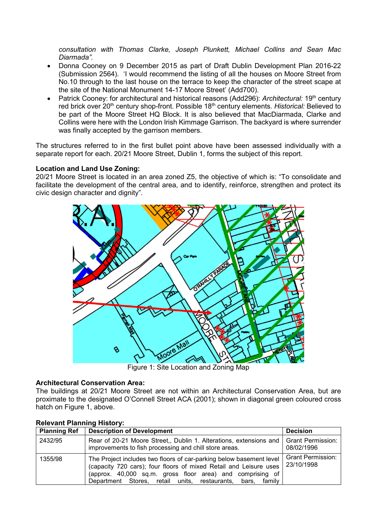*consultation with Thomas Clarke, Joseph Plunkett, Michael Collins and Sean Mac Diarmada".*

- Donna Cooney on 9 December 2015 as part of Draft Dublin Development Plan 2016-22 (Submission 2564). 'I would recommend the listing of all the houses on Moore Street from No.10 through to the last house on the terrace to keep the character of the street scape at the site of the National Monument 14-17 Moore Street' (Add700).
- Patrick Cooney: for architectural and historical reasons (Add296): *Architectural:* 19<sup>th</sup> century red brick over 20<sup>th</sup> century shop-front. Possible 18<sup>th</sup> century elements. *Historical:* Believed to be part of the Moore Street HQ Block. It is also believed that MacDiarmada, Clarke and Collins were here with the London Irish Kimmage Garrison. The backyard is where surrender was finally accepted by the garrison members.

The structures referred to in the first bullet point above have been assessed individually with a separate report for each. 20/21 Moore Street, Dublin 1, forms the subject of this report.

## **Location and Land Use Zoning:**

20/21 Moore Street is located in an area zoned Z5, the objective of which is: "To consolidate and facilitate the development of the central area, and to identify, reinforce, strengthen and protect its civic design character and dignity".



Figure 1: Site Location and Zoning Map

# **Architectural Conservation Area:**

The buildings at 20/21 Moore Street are not within an Architectural Conservation Area, but are proximate to the designated O'Connell Street ACA (2001); shown in diagonal green coloured cross hatch on Figure 1, above.

| <b>Planning Ref</b> | <b>Description of Development</b>                                                                                                                                                                                                                                      | <b>Decision</b>                        |  |
|---------------------|------------------------------------------------------------------------------------------------------------------------------------------------------------------------------------------------------------------------------------------------------------------------|----------------------------------------|--|
| 2432/95             | Rear of 20-21 Moore Street,, Dublin 1. Alterations, extensions and   Grant Permission:<br>improvements to fish processing and chill store areas.                                                                                                                       | 08/02/1996                             |  |
| 1355/98             | The Project includes two floors of car-parking below basement level<br>(capacity 720 cars); four floors of mixed Retail and Leisure uses<br>(approx. 40,000 sq.m. gross floor area) and comprising of<br>Department Stores, retail units, restaurants, bars,<br>family | <b>Grant Permission:</b><br>23/10/1998 |  |

# **Relevant Planning History:**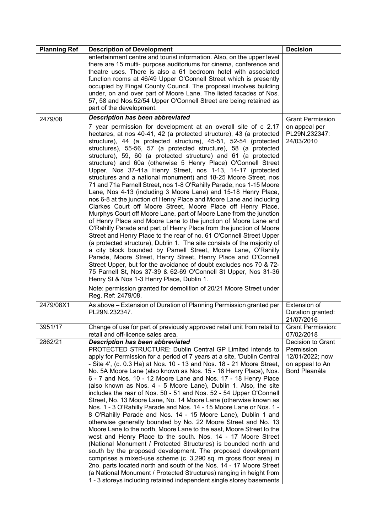| <b>Planning Ref</b> | <b>Description of Development</b>                                                                                                                                                                                                                                                                                                                                                                                                                                                                                                                                                                                                                                                                                                                                                                                                                                                                                                                                                                                                                                                                                                                                                                                                                                                                                                                                                                                                                                                                                                                                                                                     | <b>Decision</b>                                                                        |
|---------------------|-----------------------------------------------------------------------------------------------------------------------------------------------------------------------------------------------------------------------------------------------------------------------------------------------------------------------------------------------------------------------------------------------------------------------------------------------------------------------------------------------------------------------------------------------------------------------------------------------------------------------------------------------------------------------------------------------------------------------------------------------------------------------------------------------------------------------------------------------------------------------------------------------------------------------------------------------------------------------------------------------------------------------------------------------------------------------------------------------------------------------------------------------------------------------------------------------------------------------------------------------------------------------------------------------------------------------------------------------------------------------------------------------------------------------------------------------------------------------------------------------------------------------------------------------------------------------------------------------------------------------|----------------------------------------------------------------------------------------|
|                     | entertainment centre and tourist information. Also, on the upper level<br>there are 15 multi- purpose auditoriums for cinema, conference and<br>theatre uses. There is also a 61 bedroom hotel with associated<br>function rooms at 46/49 Upper O'Connell Street which is presently<br>occupied by Fingal County Council. The proposal involves building<br>under, on and over part of Moore Lane. The listed facades of Nos.<br>57, 58 and Nos.52/54 Upper O'Connell Street are being retained as<br>part of the development.                                                                                                                                                                                                                                                                                                                                                                                                                                                                                                                                                                                                                                                                                                                                                                                                                                                                                                                                                                                                                                                                                        |                                                                                        |
| 2479/08             | <b>Description has been abbreviated</b>                                                                                                                                                                                                                                                                                                                                                                                                                                                                                                                                                                                                                                                                                                                                                                                                                                                                                                                                                                                                                                                                                                                                                                                                                                                                                                                                                                                                                                                                                                                                                                               | <b>Grant Permission</b>                                                                |
|                     | 7 year permission for development at an overall site of c 2.17<br>hectares, at nos 40-41, 42 (a protected structure), 43 (a protected<br>structure), 44 (a protected structure), 45-51, 52-54 (protected<br>structures), 55-56, 57 (a protected structure), 58 (a protected<br>structure), 59, 60 (a protected structure) and 61 (a protected<br>structure) and 60a (otherwise 5 Henry Place) O'Connell Street<br>Upper, Nos 37-41a Henry Street, nos 1-13, 14-17 (protected<br>structures and a national monument) and 18-25 Moore Street, nos<br>71 and 71a Parnell Street, nos 1-8 O'Rahilly Parade, nos 1-15 Moore<br>Lane, Nos 4-13 (including 3 Moore Lane) and 15-18 Henry Place,<br>nos 6-8 at the junction of Henry Place and Moore Lane and including<br>Clarkes Court off Moore Street, Moore Place off Henry Place,<br>Murphys Court off Moore Lane, part of Moore Lane from the junction<br>of Henry Place and Moore Lane to the junction of Moore Lane and<br>O'Rahilly Parade and part of Henry Place from the junction of Moore<br>Street and Henry Place to the rear of no. 61 O'Connell Street Upper<br>(a protected structure), Dublin 1. The site consists of the majority of<br>a city block bounded by Parnell Street, Moore Lane, O'Rahilly<br>Parade, Moore Street, Henry Street, Henry Place and O'Connell<br>Street Upper, but for the avoidance of doubt excludes nos 70 & 72-<br>75 Parnell St, Nos 37-39 & 62-69 O'Connell St Upper, Nos 31-36<br>Henry St & Nos 1-3 Henry Place, Dublin 1.<br>Note: permission granted for demolition of 20/21 Moore Street under<br>Reg. Ref: 2479/08. | on appeal per<br>PL29N.232347:<br>24/03/2010                                           |
| 2479/08X1           | As above - Extension of Duration of Planning Permission granted per<br>PL29N.232347.                                                                                                                                                                                                                                                                                                                                                                                                                                                                                                                                                                                                                                                                                                                                                                                                                                                                                                                                                                                                                                                                                                                                                                                                                                                                                                                                                                                                                                                                                                                                  | Extension of<br>Duration granted:<br>21/07/2016                                        |
| 3951/17             | Change of use for part of previously approved retail unit from retail to<br>retail and off-licence sales area.                                                                                                                                                                                                                                                                                                                                                                                                                                                                                                                                                                                                                                                                                                                                                                                                                                                                                                                                                                                                                                                                                                                                                                                                                                                                                                                                                                                                                                                                                                        | Grant Permission:<br>07/02/2018                                                        |
| 2862/21             | <b>Description has been abbreviated</b><br>PROTECTED STRUCTURE: Dublin Central GP Limited intends to<br>apply for Permission for a period of 7 years at a site, 'Dublin Central<br>- Site 4', (c. 0.3 Ha) at Nos. 10 - 13 and Nos. 18 - 21 Moore Street,<br>No. 5A Moore Lane (also known as Nos. 15 - 16 Henry Place), Nos.<br>6 - 7 and Nos. 10 - 12 Moore Lane and Nos. 17 - 18 Henry Place<br>(also known as Nos. 4 - 5 Moore Lane), Dublin 1. Also, the site<br>includes the rear of Nos. 50 - 51 and Nos. 52 - 54 Upper O'Connell<br>Street, No. 13 Moore Lane, No. 14 Moore Lane (otherwise known as<br>Nos. 1 - 3 O'Rahilly Parade and Nos. 14 - 15 Moore Lane or Nos. 1 -<br>8 O'Rahilly Parade and Nos. 14 - 15 Moore Lane), Dublin 1 and<br>otherwise generally bounded by No. 22 Moore Street and No. 13<br>Moore Lane to the north, Moore Lane to the east, Moore Street to the<br>west and Henry Place to the south. Nos. 14 - 17 Moore Street<br>(National Monument / Protected Structures) is bounded north and<br>south by the proposed development. The proposed development<br>comprises a mixed-use scheme (c. 3,290 sq. m gross floor area) in<br>2no. parts located north and south of the Nos. 14 - 17 Moore Street<br>(a National Monument / Protected Structures) ranging in height from<br>1 - 3 storeys including retained independent single storey basements                                                                                                                                                                                                                             | Decision to Grant<br>Permission<br>12/01/2022; now<br>on appeal to An<br>Bord Pleanála |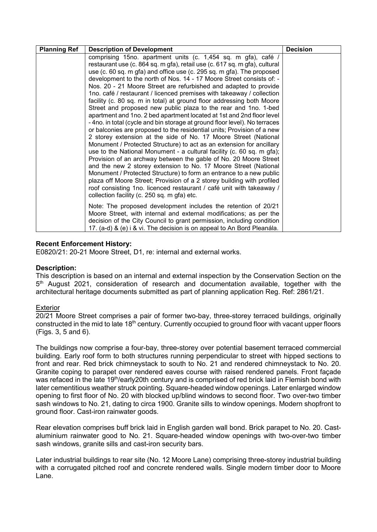| <b>Planning Ref</b> | <b>Description of Development</b>                                                                                                                                                                                                                                                                                                                                                                                                                                                                                                                                                                                                                                                                                                                                                                                                                                                                                                                                                                                                                                                                                                                                                                                                                                                                                                  | <b>Decision</b> |
|---------------------|------------------------------------------------------------------------------------------------------------------------------------------------------------------------------------------------------------------------------------------------------------------------------------------------------------------------------------------------------------------------------------------------------------------------------------------------------------------------------------------------------------------------------------------------------------------------------------------------------------------------------------------------------------------------------------------------------------------------------------------------------------------------------------------------------------------------------------------------------------------------------------------------------------------------------------------------------------------------------------------------------------------------------------------------------------------------------------------------------------------------------------------------------------------------------------------------------------------------------------------------------------------------------------------------------------------------------------|-----------------|
|                     | comprising 15no. apartment units (c. 1,454 sq. m gfa), café /<br>restaurant use (c. 864 sq. m gfa), retail use (c. 617 sq. m gfa), cultural<br>use (c. 60 sq. m gfa) and office use (c. 295 sq. m gfa). The proposed<br>development to the north of Nos. 14 - 17 Moore Street consists of: -<br>Nos. 20 - 21 Moore Street are refurbished and adapted to provide<br>1no. café / restaurant / licenced premises with takeaway / collection<br>facility (c. 80 sq. m in total) at ground floor addressing both Moore<br>Street and proposed new public plaza to the rear and 1no. 1-bed<br>apartment and 1no. 2 bed apartment located at 1st and 2nd floor level<br>- 4no. in total (cycle and bin storage at ground floor level). No terraces<br>or balconies are proposed to the residential units; Provision of a new<br>2 storey extension at the side of No. 17 Moore Street (National<br>Monument / Protected Structure) to act as an extension for ancillary<br>use to the National Monument - a cultural facility (c. 60 sq. m gfa);<br>Provision of an archway between the gable of No. 20 Moore Street<br>and the new 2 storey extension to No. 17 Moore Street (National<br>Monument / Protected Structure) to form an entrance to a new public<br>plaza off Moore Street; Provision of a 2 storey building with profiled |                 |
|                     | roof consisting 1no. licenced restaurant / café unit with takeaway /<br>collection facility (c. 250 sq. m gfa) etc.                                                                                                                                                                                                                                                                                                                                                                                                                                                                                                                                                                                                                                                                                                                                                                                                                                                                                                                                                                                                                                                                                                                                                                                                                |                 |
|                     | Note: The proposed development includes the retention of 20/21<br>Moore Street, with internal and external modifications; as per the<br>decision of the City Council to grant permission, including condition<br>17. (a-d) & (e) i & vi. The decision is on appeal to An Bord Pleanála.                                                                                                                                                                                                                                                                                                                                                                                                                                                                                                                                                                                                                                                                                                                                                                                                                                                                                                                                                                                                                                            |                 |

## **Recent Enforcement History:**

E0820/21: 20-21 Moore Street, D1, re: internal and external works.

#### **Description:**

This description is based on an internal and external inspection by the Conservation Section on the 5<sup>th</sup> August 2021, consideration of research and documentation available, together with the architectural heritage documents submitted as part of planning application Reg. Ref: 2861/21.

#### Exterior

20/21 Moore Street comprises a pair of former two-bay, three-storey terraced buildings, originally constructed in the mid to late 18<sup>th</sup> century. Currently occupied to ground floor with vacant upper floors (Figs. 3, 5 and 6).

The buildings now comprise a four-bay, three-storey over potential basement terraced commercial building. Early roof form to both structures running perpendicular to street with hipped sections to front and rear. Red brick chimneystack to south to No. 21 and rendered chimneystack to No. 20. Granite coping to parapet over rendered eaves course with raised rendered panels. Front façade was refaced in the late 19<sup>th</sup>/early20th century and is comprised of red brick laid in Flemish bond with later cementitious weather struck pointing. Square-headed window openings. Later enlarged window opening to first floor of No. 20 with blocked up/blind windows to second floor. Two over-two timber sash windows to No. 21, dating to circa 1900. Granite sills to window openings. Modern shopfront to ground floor. Cast-iron rainwater goods.

Rear elevation comprises buff brick laid in English garden wall bond. Brick parapet to No. 20. Castaluminium rainwater good to No. 21. Square-headed window openings with two-over-two timber sash windows, granite sills and cast-iron security bars.

Later industrial buildings to rear site (No. 12 Moore Lane) comprising three-storey industrial building with a corrugated pitched roof and concrete rendered walls. Single modern timber door to Moore Lane.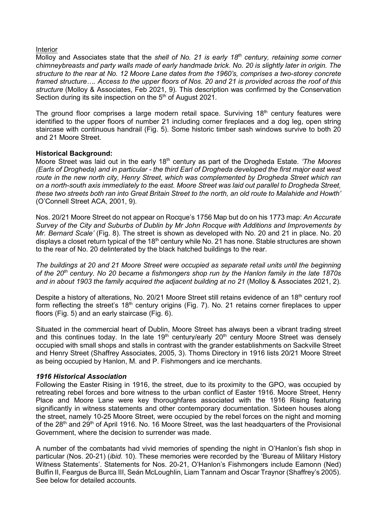#### Interior

Molloy and Associates state that the *shell of No. 21 is early 18th century, retaining some corner chimneybreasts and party walls made of early handmade brick. No. 20 is slightly later in origin. The structure to the rear at No. 12 Moore Lane dates from the 1960's, comprises a two-storey concrete framed structure…. Access to the upper floors of Nos. 20 and 21 is provided across the roof of this structure* (Molloy & Associates, Feb 2021, 9)*.* This description was confirmed by the Conservation Section during its site inspection on the  $5<sup>th</sup>$  of August 2021.

The ground floor comprises a large modern retail space. Surviving 18<sup>th</sup> century features were identified to the upper floors of number 21 including corner fireplaces and a dog leg, open string staircase with continuous handrail (Fig. 5). Some historic timber sash windows survive to both 20 and 21 Moore Street.

## **Historical Background:**

Moore Street was laid out in the early 18th century as part of the Drogheda Estate. *'The Moores (Earls of Drogheda) and in particular - the third Earl of Drogheda developed the first major east west route in the new north city, Henry Street, which was complemented by Drogheda Street which ran on a north-south axis immediately to the east. Moore Street was laid out parallel to Drogheda Street, these two streets both ran into Great Britain Street to the north, an old route to Malahide and Howth'* (O'Connell Street ACA, 2001, 9).

Nos. 20/21 Moore Street do not appear on Rocque's 1756 Map but do on his 1773 map: *An Accurate Survey of the City and Suburbs of Dublin by Mr John Rocque with Additions and Improvements by Mr. Bernard Scale'* (Fig. 8). The street is shown as developed with No. 20 and 21 in place. No. 20 displays a closet return typical of the 18<sup>th</sup> century while No. 21 has none. Stable structures are shown to the rear of No. 20 delinterated by the black hatched buildings to the rear.

*The buildings at 20 and 21 Moore Street were occupied as separate retail units until the beginning of the 20th century. No 20 became a fishmongers shop run by the Hanlon family in the late 1870s*  and in about 1903 the family acquired the adjacent building at no 21 (Molloy & Associates 2021, 2).

Despite a history of alterations, No. 20/21 Moore Street still retains evidence of an 18<sup>th</sup> century roof form reflecting the street's 18<sup>th</sup> century origins (Fig. 7). No. 21 retains corner fireplaces to upper floors (Fig. 5) and an early staircase (Fig. 6).

Situated in the commercial heart of Dublin, Moore Street has always been a vibrant trading street and this continues today. In the late  $19<sup>th</sup>$  century/early  $20<sup>th</sup>$  century Moore Street was densely occupied with small shops and stalls in contrast with the grander establishments on Sackville Street and Henry Street (Shaffrey Associates, 2005, 3). Thoms Directory in 1916 lists 20/21 Moore Street as being occupied by Hanlon, M. and P. Fishmongers and ice merchants.

# *1916 Historical Association*

Following the Easter Rising in 1916, the street, due to its proximity to the GPO, was occupied by retreating rebel forces and bore witness to the urban conflict of Easter 1916. Moore Street, Henry Place and Moore Lane were key thoroughfares associated with the 1916 Rising featuring significantly in witness statements and other contemporary documentation. Sixteen houses along the street, namely 10-25 Moore Street, were occupied by the rebel forces on the night and morning of the 28<sup>th</sup> and 29<sup>th</sup> of April 1916. No. 16 Moore Street, was the last headquarters of the Provisional Government, where the decision to surrender was made.

A number of the combatants had vivid memories of spending the night in O'Hanlon's fish shop in particular (Nos. 20-21) (*ibid.* 10). These memories were recorded by the 'Bureau of Military History Witness Statements'. Statements for Nos. 20-21, O'Hanlon's Fishmongers include Eamonn (Ned) Bulfin II, Feargus de Burca III, Seán McLoughlin, Liam Tannam and Oscar Traynor (Shaffrey's 2005). See below for detailed accounts.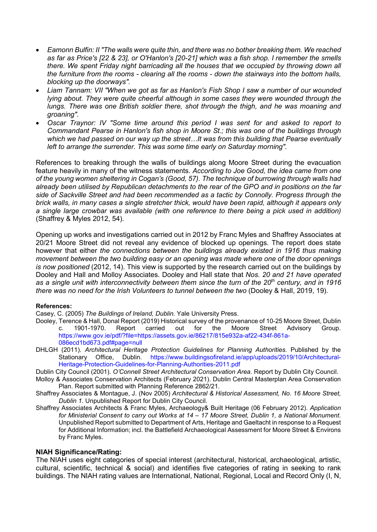- *Eamonn Bulfin: II "The walls were quite thin, and there was no bother breaking them. We reached as far as Price's [22 & 23], or O'Hanlon's [20-21] which was a fish shop. I remember the smells there. We spent Friday night barricading all the houses that we occupied by throwing down all the furniture from the rooms - clearing all the rooms - down the stairways into the bottom halls, blocking up the doorways".*
- *Liam Tannam: VII "When we got as far as Hanlon's Fish Shop I saw a number of our wounded lying about. They were quite cheerful although in some cases they were wounded through the lungs. There was one British soldier there, shot through the thigh, and he was moaning and groaning".*
- *Oscar Traynor: IV "Some time around this period I was sent for and asked to report to Commandant Pearse in Hanlon's fish shop in Moore St.; this was one of the buildings through which we had passed on our way up the street…It was from this building that Pearse eventually left to arrange the surrender. This was some time early on Saturday morning".*

References to breaking through the walls of buildings along Moore Street during the evacuation feature heavily in many of the witness statements. *According to Joe Good, the idea came from one of the young women sheltering in Cogan's (Good, 57). The technique of burrowing through walls had already been utilised by Republican detachments to the rear of the GPO and in positions on the far side of Sackville Street and had been recommended as a tactic by Connolly. Progress through the brick walls, in many cases a single stretcher thick, would have been rapid, although it appears only a single large crowbar was available (with one reference to there being a pick used in addition)*  (Shaffrey & Myles 2012, 54)*.* 

Opening up works and investigations carried out in 2012 by Franc Myles and Shaffrey Associates at 20/21 Moore Street did not reveal any evidence of blocked up openings. The report does state however that either *the connections between the buildings already existed in 1916 thus making movement between the two building easy or an opening was made where one of the door openings is now positioned* (2012, 14). This view is supported by the research carried out on the buildings by Dooley and Hall and Molloy Associates. Dooley and Hall state that *Nos. 20 and 21 have operated as a single unit with interconnectivity between them since the turn of the 20th century, and in 1916 there was no need for the Irish Volunteers to tunnel between the two* (Dooley & Hall, 2019, 19)*.*

#### **References:**

Casey, C. (2005) *The Buildings of Ireland, Dublin.* Yale University Press.

- Dooley, Terence & Hall, Donal Report (2019) Historical survey of the provenance of 10-25 Moore Street, Dublin c. 1901-1970. Report carried out for the Moore Street Advisory Group. https://www.gov.ie/pdf/?file=https://assets.gov.ie/86217/815e932a-af22-434f-861a-086ecd1bd673.pdf#page=null
- DHLGH (2011). *Architectural Heritage Protection Guidelines for Planning Authorities*. Published by the Stationary Office, Dublin. https://www.buildingsofireland.ie/app/uploads/2019/10/Architectural-Heritage-Protection-Guidelines-for-Planning-Authorities-2011.pdf

Dublin City Council (2001). *O'Connell Street Architectural Conservation Area.* Report by Dublin City Council.

- Molloy & Associates Conservation Architects (February 2021). Dublin Central Masterplan Area Conservation Plan. Report submitted with Planning Reference 2862/21.
- Shaffrey Associates & Montague, J. (Nov 2005) *Architectural & Historical Assessment, No. 16 Moore Street, Dublin 1.* Unpublished Report for Dublin City Council.
- Shaffrey Associates Architects & Franc Myles, Archaeology& Built Heritage (06 February 2012). *Application for Ministerial Consent to carry out Works at 14 – 17 Moore Street, Dublin 1, a National Monument*. Unpublished Report submitted to Department of Arts, Heritage and Gaeltacht in response to a Request for Additional Information; incl. the Battlefield Archaeological Assessment for Moore Street & Environs by Franc Myles.

## **NIAH Significance/Rating:**

The NIAH uses eight categories of special interest (architectural, historical, archaeological, artistic, cultural, scientific, technical & social) and identifies five categories of rating in seeking to rank buildings. The NIAH rating values are International, National, Regional, Local and Record Only (I, N,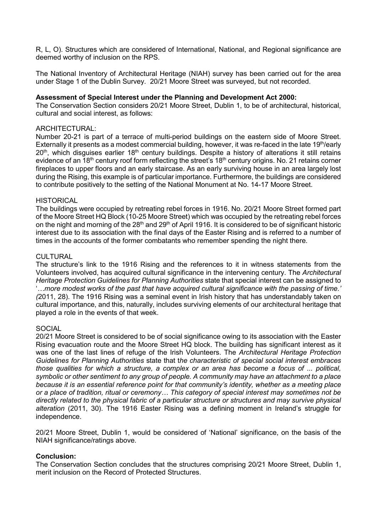R, L, O). Structures which are considered of International, National, and Regional significance are deemed worthy of inclusion on the RPS.

The National Inventory of Architectural Heritage (NIAH) survey has been carried out for the area under Stage 1 of the Dublin Survey. 20/21 Moore Street was surveyed, but not recorded.

## **Assessment of Special Interest under the Planning and Development Act 2000:**

The Conservation Section considers 20/21 Moore Street, Dublin 1, to be of architectural, historical, cultural and social interest, as follows:

## ARCHITECTURAL:

Number 20-21 is part of a terrace of multi-period buildings on the eastern side of Moore Street. Externally it presents as a modest commercial building, however, it was re-faced in the late 19<sup>th</sup>/early  $20<sup>th</sup>$ , which disguises earlier 18<sup>th</sup> century buildings. Despite a history of alterations it still retains evidence of an 18<sup>th</sup> century roof form reflecting the street's 18<sup>th</sup> century origins. No. 21 retains corner fireplaces to upper floors and an early staircase. As an early surviving house in an area largely lost during the Rising, this example is of particular importance. Furthermore, the buildings are considered to contribute positively to the setting of the National Monument at No. 14-17 Moore Street.

## **HISTORICAL**

The buildings were occupied by retreating rebel forces in 1916. No. 20/21 Moore Street formed part of the Moore Street HQ Block (10-25 Moore Street) which was occupied by the retreating rebel forces on the night and morning of the 28<sup>th</sup> and 29<sup>th</sup> of April 1916. It is considered to be of significant historic interest due to its association with the final days of the Easter Rising and is referred to a number of times in the accounts of the former combatants who remember spending the night there.

## **CULTURAL**

The structure's link to the 1916 Rising and the references to it in witness statements from the Volunteers involved, has acquired cultural significance in the intervening century. The *Architectural Heritage Protection Guidelines for Planning Authorities* state that special interest can be assigned to '*…more modest works of the past that have acquired cultural significance with the passing of time.' (*2011, 28). The 1916 Rising was a seminal event in Irish history that has understandably taken on cultural importance, and this, naturally, includes surviving elements of our architectural heritage that played a role in the events of that week.

# **SOCIAL**

20/21 Moore Street is considered to be of social significance owing to its association with the Easter Rising evacuation route and the Moore Street HQ block. The building has significant interest as it was one of the last lines of refuge of the Irish Volunteers. The *Architectural Heritage Protection Guidelines for Planning Authorities* state that t*he characteristic of special social interest embraces those qualities for which a structure, a complex or an area has become a focus of ... political, symbolic or other sentiment to any group of people. A community may have an attachment to a place because it is an essential reference point for that community's identity, whether as a meeting place or a place of tradition, ritual or ceremony… This category of special interest may sometimes not be directly related to the physical fabric of a particular structure or structures and may survive physical alteration* (2011, 30). The 1916 Easter Rising was a defining moment in Ireland's struggle for independence.

20/21 Moore Street, Dublin 1, would be considered of 'National' significance, on the basis of the NIAH significance/ratings above.

#### **Conclusion:**

The Conservation Section concludes that the structures comprising 20/21 Moore Street, Dublin 1, merit inclusion on the Record of Protected Structures.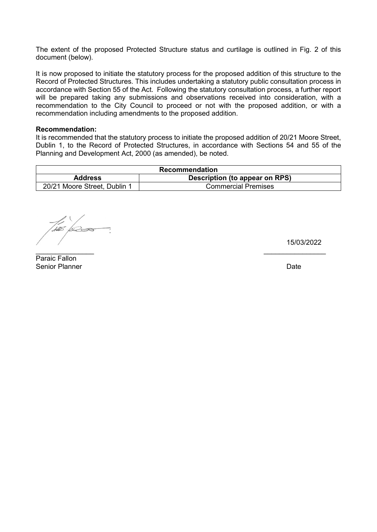The extent of the proposed Protected Structure status and curtilage is outlined in Fig. 2 of this document (below).

It is now proposed to initiate the statutory process for the proposed addition of this structure to the Record of Protected Structures. This includes undertaking a statutory public consultation process in accordance with Section 55 of the Act. Following the statutory consultation process, a further report will be prepared taking any submissions and observations received into consideration, with a recommendation to the City Council to proceed or not with the proposed addition, or with a recommendation including amendments to the proposed addition.

#### **Recommendation:**

It is recommended that the statutory process to initiate the proposed addition of 20/21 Moore Street, Dublin 1, to the Record of Protected Structures, in accordance with Sections 54 and 55 of the Planning and Development Act, 2000 (as amended), be noted.

| Recommendation               |                                |  |  |  |
|------------------------------|--------------------------------|--|--|--|
| <b>Address</b>               | Description (to appear on RPS) |  |  |  |
| 20/21 Moore Street, Dublin 1 | <b>Commercial Premises</b>     |  |  |  |

\_\_\_\_\_\_\_\_\_\_\_\_\_\_\_ \_\_\_\_\_\_\_\_\_\_\_\_\_\_\_\_

 $\sqrt{2}$ 

15/03/2022

Paraic Fallon Senior Planner Date Communication of the Communication of the Date Date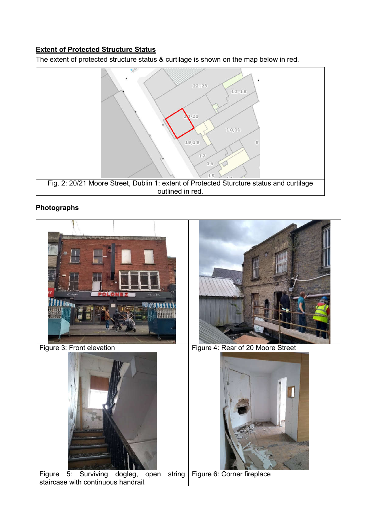# **Extent of Protected Structure Status**

The extent of protected structure status & curtilage is shown on the map below in red.



# **Photographs**